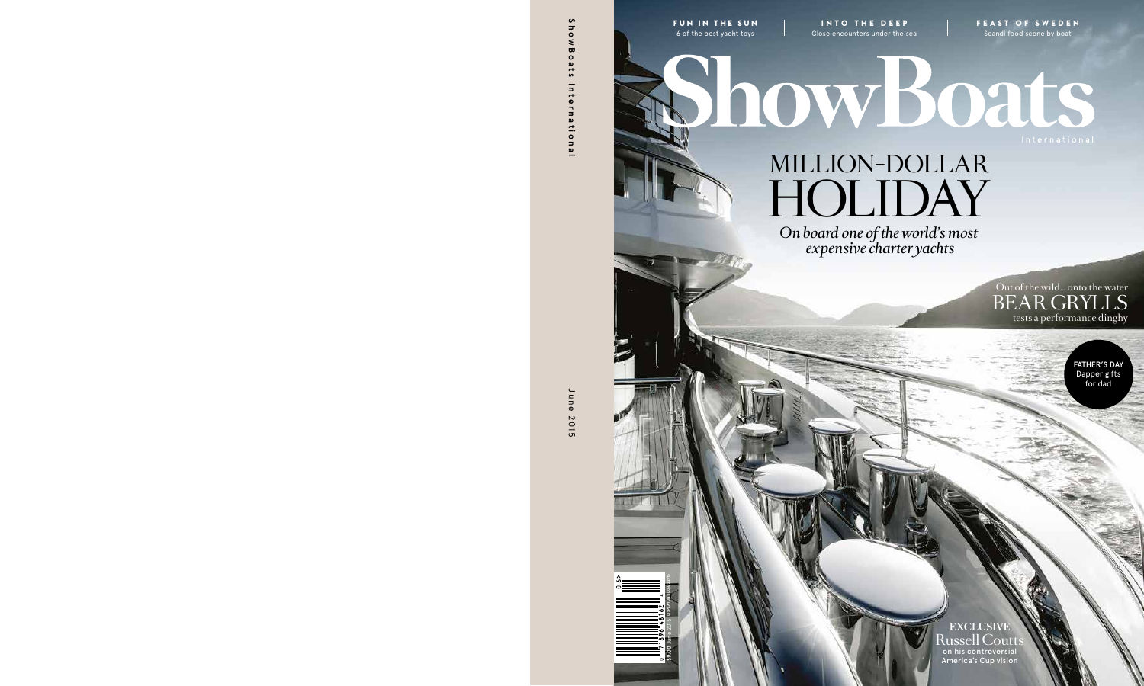**FUN IN THE SUN** 6 of the best yacht toys

**INTO THE DEEP** Close encounters under the sea **FEAST OF SWEDEN** Scandi food scene by boat

MILLION-DOLLAR holiday

howBoats

*On board one of the world's most expensive charter yachts*

> Out of the wild… onto the water BEAR GRYLLS tests a performance dinghy

> > FATHER'S DAY Dapper gifts for dad

**EXCLUSIVE**  Russell Coutt on his controversial America's Cup vision

**\$9.00** June 2015 **DISPLAY UNTIL 06/22/15**

 $5900$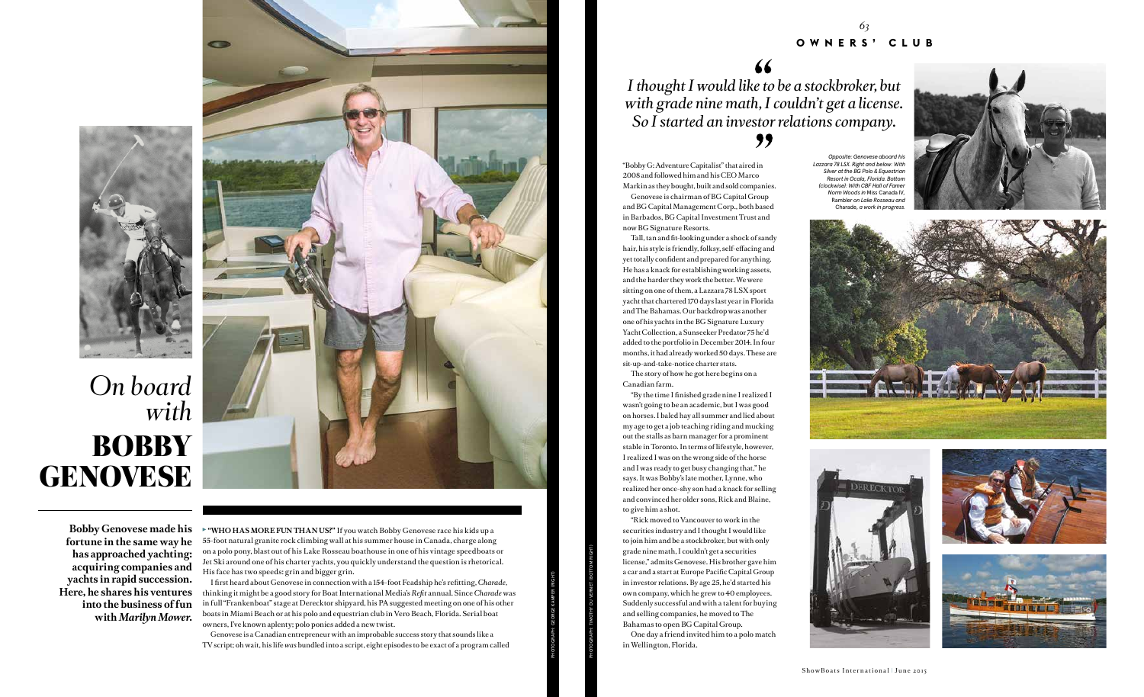**"WHO HAS MORE FUN THAN US?"** If you watch Bobby Genovese race his kids up a 55-foot natural granite rock climbing wall at his summer house in Canada, charge along on a polo pony, blast out of his Lake Rosseau boathouse in one of his vintage speedboats or Jet Ski around one of his charter yachts, you quickly understand the question is rhetorical. His face has two speeds: grin and bigger grin.

I first heard about Genovese in connection with a 154-foot Feadship he's refitting, *Charade*, thinking it might be a good story for Boat International Media's *Refit* annual. Since *Charade* was in full "Frankenboat" stage at Derecktor shipyard, his PA suggested meeting on one of his other boats in Miami Beach or at his polo and equestrian club in Vero Beach, Florida. Serial boat owners, I've known aplenty; polo ponies added a new twist.

Genovese is a Canadian entrepreneur with an improbable success story that sounds like a TV script; oh wait, his life *was* bundled into a script, eight episodes to be exact of a program called

**Bobby Genovese made his fortune in the same way he has approached yachting: acquiring companies and yachts in rapid succession. Here, he shares his ventures into the business of fun with** *Marilyn Mower***.**

*with*



PHOTOGRAPH: GEORGE KAMPER (RIGHT)

"Bobby G: Adventure Capitalist" that aired in 2008 and followed him and his CEO Marco Markin as they bought, built and sold companies.

Genovese is chairman of BG Capital Group and BG Capital Management Corp., both based in Barbados, BG Capital Investment Trust and now BG Signature Resorts.

*Opposite: Genovese aboard his Lazzara 78 LSX. Right and below: With Silver at the BG Polo & Equestrian Resort in Ocala, Florida. Bottom (clockwise): With CBF Hall of Fame Norm Woods in* Miss Canada IV*,*  Rambler *on Lake Rosseau and*  Charade, a work in progres











Tall, tan and fit-looking under a shock of sandy hair, his style is friendly, folksy, self-effacing and yet totally confident and prepared for anything. He has a knack for establishing working assets, and the harder they work the better. We were sitting on one of them, a Lazzara 78 LSX sport yacht that chartered 170 days last year in Florida and The Bahamas. Our backdrop was another one of his yachts in the BG Signature Luxury Yacht Collection, a Sunseeker Predator 75 he'd added to the portfolio in December 2014. In four months, it had already worked 50 days. These are sit-up-and-take-notice charter stats.

The story of how he got here begins on a Canadian farm.

"By the time I finished grade nine I realized I wasn't going to be an academic, but I was good on horses. I baled hay all summer and lied about my age to get a job teaching riding and mucking out the stalls as barn manager for a prominent stable in Toronto. In terms of lifestyle, however, I realized I was on the wrong side of the horse and I was ready to get busy changing that," he says. It was Bobby's late mother, Lynne, who realized her once-shy son had a knack for selling and convinced her older sons, Rick and Blaine, to give him a shot.

"Rick moved to Vancouver to work in the securities industry and I thought I would like to join him and be a stockbroker, but with only grade nine math, I couldn't get a securities license," admits Genovese. His brother gave him a car and a start at Europe Pacific Capital Group in investor relations. By age 25, he'd started his own company, which he grew to 40 employees. Suddenly successful and with a talent for buying and selling companies, he moved to The Bahamas to open BG Capital Group.

One day a friend invited him to a polo match in Wellington, Florida.

PHOTOGRAPH: TIMOTHY DU VERNET (BOTTOM RIGHT)

## *I thought I would like to be a stockbroker, but with grade nine math, I couldn't get a license. So I started an investor relations company.*